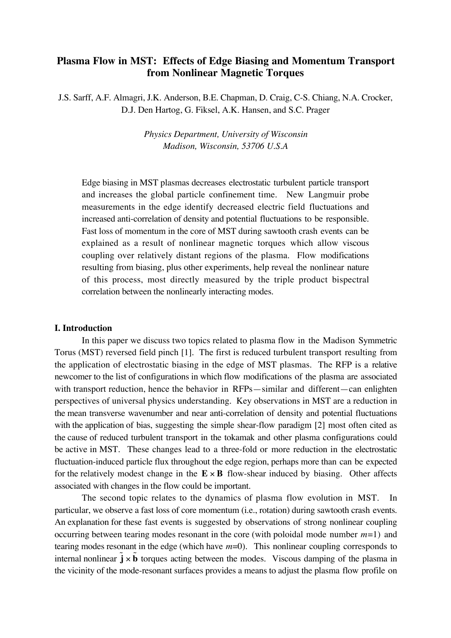# **Plasma Flow in MST: Effects of Edge Biasing and Momentum Transport from Nonlinear Magnetic Torques**

J.S. Sarff, A.F. Almagri, J.K. Anderson, B.E. Chapman, D. Craig, C-S. Chiang, N.A. Crocker, D.J. Den Hartog, G. Fiksel, A.K. Hansen, and S.C. Prager

> *Physics Department, University of Wisconsin Madison, Wisconsin, 53706 U.S.A*

Edge biasing in MST plasmas decreases electrostatic turbulent particle transport and increases the global particle confinement time. New Langmuir probe measurements in the edge identify decreased electric field fluctuations and increased anti-correlation of density and potential fluctuations to be responsible. Fast loss of momentum in the core of MST during sawtooth crash events can be explained as a result of nonlinear magnetic torques which allow viscous coupling over relatively distant regions of the plasma. Flow modifications resulting from biasing, plus other experiments, help reveal the nonlinear nature of this process, most directly measured by the triple product bispectral correlation between the nonlinearly interacting modes.

## **I. Introduction**

In this paper we discuss two topics related to plasma flow in the Madison Symmetric Torus (MST) reversed field pinch [1]. The first is reduced turbulent transport resulting from the application of electrostatic biasing in the edge of MST plasmas. The RFP is a relative newcomer to the list of configurations in which flow modifications of the plasma are associated with transport reduction, hence the behavior in RFPs—similar and different—can enlighten perspectives of universal physics understanding. Key observations in MST are a reduction in the mean transverse wavenumber and near anti-correlation of density and potential fluctuations with the application of bias, suggesting the simple shear-flow paradigm [2] most often cited as the cause of reduced turbulent transport in the tokamak and other plasma configurations could be active in MST. These changes lead to a three-fold or more reduction in the electrostatic fluctuation-induced particle flux throughout the edge region, perhaps more than can be expected for the relatively modest change in the  $\mathbf{E} \times \mathbf{B}$  flow-shear induced by biasing. Other affects associated with changes in the flow could be important.

The second topic relates to the dynamics of plasma flow evolution in MST. In particular, we observe a fast loss of core momentum (i.e., rotation) during sawtooth crash events. An explanation for these fast events is suggested by observations of strong nonlinear coupling occurring between tearing modes resonant in the core (with poloidal mode number *m*=1) and tearing modes resonant in the edge (which have *m*=0). This nonlinear coupling corresponds to internal nonlinear  $\mathbf{i} \times \mathbf{b}$  torques acting between the modes. Viscous damping of the plasma in the vicinity of the mode-resonant surfaces provides a means to adjust the plasma flow profile on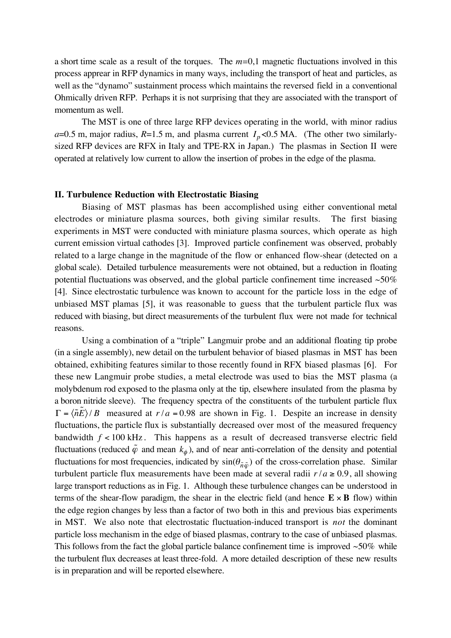a short time scale as a result of the torques. The *m=*0,1 magnetic fluctuations involved in this process apprear in RFP dynamics in many ways, including the transport of heat and particles, as well as the "dynamo" sustainment process which maintains the reversed field in a conventional Ohmically driven RFP. Perhaps it is not surprising that they are associated with the transport of momentum as well.

The MST is one of three large RFP devices operating in the world, with minor radius  $a=0.5$  m, major radius,  $R=1.5$  m, and plasma current  $I_p<0.5$  MA. (The other two similarlysized RFP devices are RFX in Italy and TPE-RX in Japan.) The plasmas in Section II were operated at relatively low current to allow the insertion of probes in the edge of the plasma.

#### **II. Turbulence Reduction with Electrostatic Biasing**

Biasing of MST plasmas has been accomplished using either conventional metal electrodes or miniature plasma sources, both giving similar results. The first biasing experiments in MST were conducted with miniature plasma sources, which operate as high current emission virtual cathodes [3]. Improved particle confinement was observed, probably related to a large change in the magnitude of the flow or enhanced flow-shear (detected on a global scale). Detailed turbulence measurements were not obtained, but a reduction in floating potential fluctuations was observed, and the global particle confinement time increased  $~50\%$ [4]. Since electrostatic turbulence was known to account for the particle loss in the edge of unbiased MST plamas [5], it was reasonable to guess that the turbulent particle flux was reduced with biasing, but direct measurements of the turbulent flux were not made for technical reasons.

Using a combination of a "triple" Langmuir probe and an additional floating tip probe (in a single assembly), new detail on the turbulent behavior of biased plasmas in MST has been obtained, exhibiting features similar to those recently found in RFX biased plasmas [6]. For these new Langmuir probe studies, a metal electrode was used to bias the MST plasma (a molybdenum rod exposed to the plasma only at the tip, elsewhere insulated from the plasma by a boron nitride sleeve). The frequency spectra of the constituents of the turbulent particle flux  $\Gamma = \langle \tilde{n}E \rangle / B$  measured at  $r/a = 0.98$  are shown in Fig. 1. Despite an increase in density fluctuations, the particle flux is substantially decreased over most of the measured frequency bandwidth  $f < 100$  kHz. This happens as a result of decreased transverse electric field fluctuations (reduced  $\tilde{\varphi}$  and mean  $k_{\varphi}$ ), and of near anti-correlation of the density and potential fluctuations for most frequencies, indicated by  $sin(\theta_{\tilde{n}\tilde{\omega}})$  of the cross-correlation phase. Similar turbulent particle flux measurements have been made at several radii  $r/a \ge 0.9$ , all showing large transport reductions as in Fig. 1. Although these turbulence changes can be understood in terms of the shear-flow paradigm, the shear in the electric field (and hence  $\mathbf{E} \times \mathbf{B}$  flow) within the edge region changes by less than a factor of two both in this and previous bias experiments in MST. We also note that electrostatic fluctuation-induced transport is *not* the dominant particle loss mechanism in the edge of biased plasmas, contrary to the case of unbiased plasmas. This follows from the fact the global particle balance confinement time is improved  $\sim 50\%$  while the turbulent flux decreases at least three-fold. A more detailed description of these new results is in preparation and will be reported elsewhere.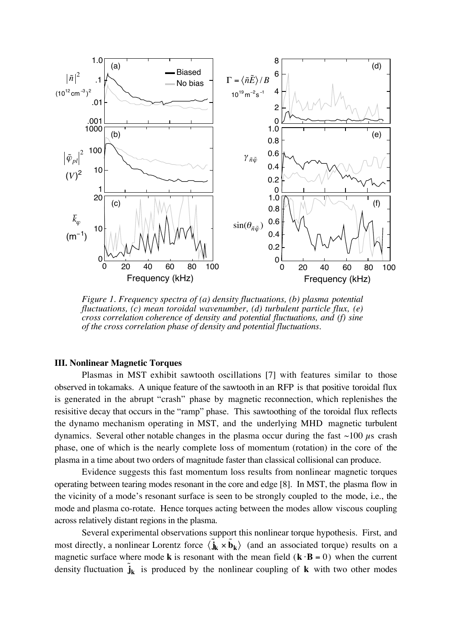

*Figure 1. Frequency spectra of (a) density fluctuations, (b) plasma potential fluctuations, (c) mean toroidal wavenumber, (d) turbulent particle flux, (e) cross correlation coherence of density and potential fluctuations, and (f) sine of the cross correlation phase of density and potential fluctuations.*

### **III. Nonlinear Magnetic Torques**

Plasmas in MST exhibit sawtooth oscillations [7] with features similar to those observed in tokamaks. A unique feature of the sawtooth in an RFP is that positive toroidal flux is generated in the abrupt "crash" phase by magnetic reconnection, which replenishes the resisitive decay that occurs in the "ramp" phase. This sawtoothing of the toroidal flux reflects the dynamo mechanism operating in MST, and the underlying MHD magnetic turbulent dynamics. Several other notable changes in the plasma occur during the fast  $\sim$ 100  $\mu$ s crash phase, one of which is the nearly complete loss of momentum (rotation) in the core of the plasma in a time about two orders of magnitude faster than classical collisional can produce.

Evidence suggests this fast momentum loss results from nonlinear magnetic torques operating between tearing modes resonant in the core and edge [8]. In MST, the plasma flow in the vicinity of a mode's resonant surface is seen to be strongly coupled to the mode, i.e., the mode and plasma co-rotate. Hence torques acting between the modes allow viscous coupling across relatively distant regions in the plasma.

Several experimental observations support this nonlinear torque hypothesis. First, and most directly, a nonlinear Lorentz force  $\langle \tilde{\mathbf{j}}_k \times \tilde{\mathbf{b}}_k \rangle$  (and an associated torque) results on a magnetic surface where mode **k** is resonant with the mean field  $(\mathbf{k} \cdot \mathbf{B} = 0)$  when the current density fluctuation  $\tilde{\mathbf{j}}_k$  is produced by the nonlinear coupling of **k** with two other modes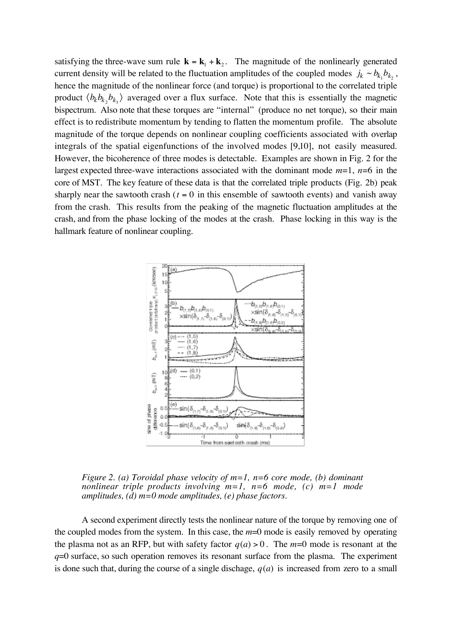satisfying the three-wave sum rule  $\mathbf{k} = \mathbf{k}_1 + \mathbf{k}_2$ . The magnitude of the nonlinearly generated current density will be related to the fluctuation amplitudes of the coupled modes  $j_k \sim b_{k_1} b_{k_2}$ , hence the magnitude of the nonlinear force (and torque) is proportional to the correlated triple product  $\langle b_k b_{k_2} b_{k_3} \rangle$  averaged over a flux surface. Note that this is essentially the magnetic bispectrum. Also note that these torques are "internal" (produce no net torque), so their main effect is to redistribute momentum by tending to flatten the momentum profile. The absolute magnitude of the torque depends on nonlinear coupling coefficients associated with overlap integrals of the spatial eigenfunctions of the involved modes [9,10], not easily measured. However, the bicoherence of three modes is detectable. Examples are shown in Fig. 2 for the largest expected three-wave interactions associated with the dominant mode  $m=1$ ,  $n=6$  in the core of MST. The key feature of these data is that the correlated triple products (Fig. 2b) peak sharply near the sawtooth crash ( $t = 0$  in this ensemble of sawtooth events) and vanish away from the crash. This results from the peaking of the magnetic fluctuation amplitudes at the crash, and from the phase locking of the modes at the crash. Phase locking in this way is the hallmark feature of nonlinear coupling.



*Figure 2. (a) Toroidal phase velocity of m=1, n=6 core mode, (b) dominant nonlinear triple products involving m=1, n=6 mode, (c) m=1 mode amplitudes, (d) m=0 mode amplitudes, (e) phase factors.*

A second experiment directly tests the nonlinear nature of the torque by removing one of the coupled modes from the system. In this case, the *m*=0 mode is easily removed by operating the plasma not as an RFP, but with safety factor  $q(a) > 0$ . The  $m=0$  mode is resonant at the *q*=0 surface, so such operation removes its resonant surface from the plasma. The experiment is done such that, during the course of a single dischage,  $q(a)$  is increased from zero to a small